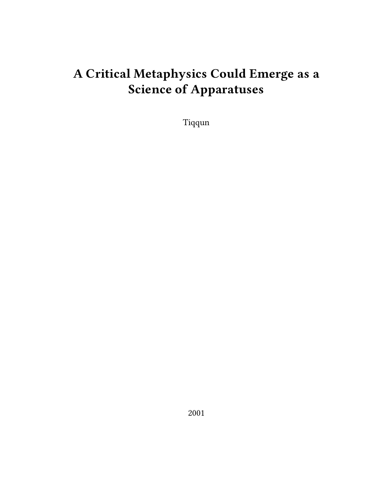# **A Critical Metaphysics Could Emerge as a Science of Apparatuses**

Tiqqun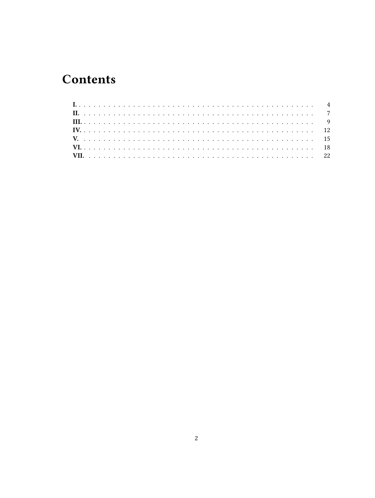## **Contents**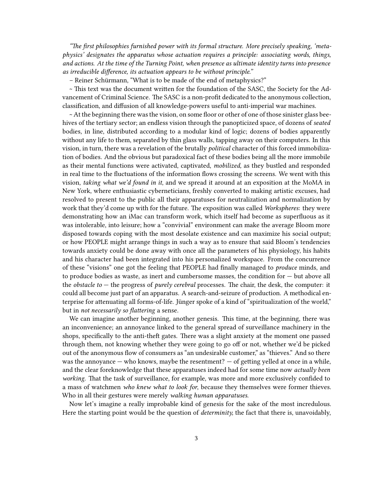*"The first philosophies furnished power with its formal structure. More precisely speaking, 'metaphysics' designates the apparatus whose actuation requires a principle: associating words, things, and actions. At the time of the Turning Point, when presence as ultimate identity turns into presence as irreducible difference, its actuation appears to be without principle."*

– Reiner Schürmann, "What is to be made of the end of metaphysics?"

~ This text was the document written for the foundation of the SASC, the Society for the Advancement of Criminal Science. The SASC is a non-profit dedicated to the anonymous collection, classification, and diffusion of all knowledge-powers useful to anti-imperial war machines.

~ At the beginning there was the vision, on some floor or other of one of those sinister glass beehives of the tertiary sector; an endless vision through the panopticized space, of dozens of *seated* bodies, in line, distributed according to a modular kind of logic; dozens of bodies apparently without any life to them, separated by thin glass walls, tapping away on their computers. In this vision, in turn, there was a revelation of the brutally *political* character of this forced immobilization of bodies. And the obvious but paradoxical fact of these bodies being all the more immobile as their mental functions were activated, captivated, *mobilized,* as they bustled and responded in real time to the fluctuations of the information flows crossing the screens. We went with this vision, *taking what we'd found in it*, and we spread it around at an exposition at the MoMA in New York, where enthusiastic cyberneticians, freshly converted to making artistic excuses, had resolved to present to the public all their apparatuses for neutralization and normalization by work that they'd come up with for the future. The exposition was called *Workspheres*: they were demonstrating how an iMac can transform work, which itself had become as superfluous as it was intolerable, into leisure; how a "convivial" environment can make the average Bloom more disposed towards coping with the most desolate existence and can maximize his social output; or how PEOPLE might arrange things in such a way as to ensure that said Bloom's tendencies towards anxiety could be done away with once all the parameters of his physiology, his habits and his character had been integrated into his personalized workspace. From the concurrence of these "visions" one got the feeling that PEOPLE had finally managed to *produce* minds, and to produce bodies as waste, as inert and cumbersome masses, the condition for  $-$  but above all the *obstacle to* — the progress of *purely cerebral* processes. The chair, the desk, the computer: it could all become just part of an apparatus. A search-and-seizure of production. A methodical enterprise for attenuating all forms-of-life. Jünger spoke of a kind of "spiritualization of the world," but in *not necessarily so flattering* a sense*.*

We can imagine another beginning, another genesis. This time, at the beginning, there was an inconvenience; an annoyance linked to the general spread of surveillance machinery in the shops, specifically to the anti-theft gates. There was a slight anxiety at the moment one passed through them, not knowing whether they were going to go off or not, whether we'd be picked out of the anonymous flow of consumers as "an undesirable customer," as "thieves." And so there was the annoyance  $-$  who knows, maybe the resentment?  $-$  of getting yelled at once in a while, and the clear foreknowledge that these apparatuses indeed had for some time now *actually been working*. That the task of surveillance, for example, was more and more exclusively confided to a mass of watchmen *who knew what to look for*, because they themselves were former thieves. Who in all their gestures were merely *walking human apparatuses.*

Now let's imagine a really improbable kind of genesis for the sake of the most incredulous. Here the starting point would be the question of *determinity,* the fact that there is, unavoidably,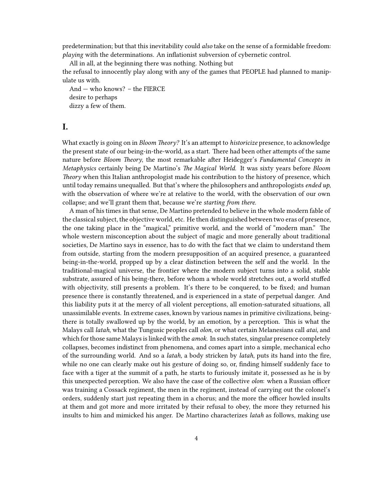predetermination; but that this inevitability could *also* take on the sense of a formidable freedom: *playing* with the determinations. An inflationist subversion of cybernetic control.

All in all, at the beginning there was nothing. Nothing but the refusal to innocently play along with any of the games that PEOPLE had planned to manipulate us with.

And — who knows? – the FIERCE desire to perhaps dizzy a few of them.

## <span id="page-3-0"></span>**I.**

What exactly is going on in *Bloom Theory?* It's an attempt to *historicize* presence, to acknowledge the present state of our being-in-the-world, as a start. There had been other attempts of the same nature before *Bloom Theory*, the most remarkable after Heidegger's *Fundamental Concepts in Metaphysics* certainly being De Martino's *The Magical World*. It was sixty years before *Bloom Theory* when this Italian anthropologist made his contribution to the history of presence, which until today remains unequalled. But that's where the philosophers and anthropologists *ended up*, with the observation of where we're at relative to the world, with the observation of our own collapse; and we'll grant them that, because we're *starting from there.*

A man of his times in that sense, De Martino pretended to believe in the whole modern fable of the classical subject, the objective world, etc. He then distinguished between two eras of presence, the one taking place in the "magical," primitive world, and the world of "modern man." The whole western misconception about the subject of magic and more generally about traditional societies, De Martino says in essence, has to do with the fact that we claim to understand them from outside, starting from the modern presupposition of an acquired presence, a guaranteed being-in-the-world, propped up by a clear distinction between the self and the world. In the traditional-magical universe, the frontier where the modern subject turns into a solid, stable substrate, assured of his being-there, before whom a whole world stretches out, a world stuffed with objectivity, still presents a problem. It's there to be conquered, to be fixed; and human presence there is constantly threatened, and is experienced in a state of perpetual danger. And this liability puts it at the mercy of all violent perceptions, all emotion-saturated situations, all unassimilable events. In extreme cases, known by various names in primitive civilizations, beingthere is totally swallowed up by the world, by an emotion, by a perception. This is what the Malays call *latah*, what the Tungusic peoples call *olon*, or what certain Melanesians call *atai,* and which for those same Malays is linked with the *amok*. In such states, singular presence completely collapses, becomes indistinct from phenomena, and comes apart into a simple, mechanical echo of the surrounding world. And so a *latah,* a body stricken by *latah*, puts its hand into the fire, while no one can clearly make out his gesture of doing so, or, finding himself suddenly face to face with a tiger at the summit of a path, he starts to furiously imitate it, possessed as he is by this unexpected perception. We also have the case of the collective *olon*: when a Russian officer was training a Cossack regiment, the men in the regiment, instead of carrying out the colonel's orders, suddenly start just repeating them in a chorus; and the more the officer howled insults at them and got more and more irritated by their refusal to obey, the more they returned his insults to him and mimicked his anger. De Martino characterizes *latah* as follows, making use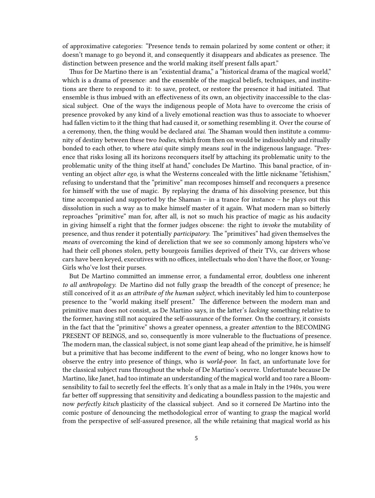of approximative categories: "Presence tends to remain polarized by some content or other; it doesn't manage to go beyond it, and consequently it disappears and abdicates as presence. The distinction between presence and the world making itself present falls apart."

Thus for De Martino there is an "existential drama," a "historical drama of the magical world," which is a drama of presence: and the ensemble of the magical beliefs, techniques, and institutions are there to respond to it: to save, protect, or restore the presence it had initiated. That ensemble is thus imbued with an effectiveness of its own, an objectivity inaccessible to the classical subject. One of the ways the indigenous people of Mota have to overcome the crisis of presence provoked by any kind of a lively emotional reaction was thus to associate to whoever had fallen victim to it the thing that had caused it, or something resembling it. Over the course of a ceremony, then, the thing would be declared *atai*. The Shaman would then institute a community of destiny between these two *bodies*, which from then on would be indissolubly and ritually bonded to each other, to where *atai* quite simply means *soul* in the indigenous language. "Presence that risks losing all its horizons reconquers itself by attaching its problematic unity to the problematic unity of the thing itself at hand," concludes De Martino. This banal practice, of inventing an object *alter ego*, is what the Westerns concealed with the little nickname "fetishism," refusing to understand that the "primitive" man recomposes himself and reconquers a presence for himself with the use of magic. By replaying the drama of his dissolving presence, but this time accompanied and supported by the Shaman – in a trance for instance – he plays out this dissolution in such a way as to make himself master of it again. What modern man so bitterly reproaches "primitive" man for, after all, is not so much his practice of magic as his audacity in giving himself a right that the former judges obscene: the right to *invoke* the mutability of presence, and thus render it potentially *participatory*. The "primitives" had given themselves the *means* of overcoming the kind of dereliction that we see so commonly among hipsters who've had their cell phones stolen, petty bourgeois families deprived of their TVs, car drivers whose cars have been keyed, executives with no offices, intellectuals who don't have the floor, or Young-Girls who've lost their purses.

But De Martino committed an immense error, a fundamental error, doubtless one inherent *to all anthropology*. De Martino did not fully grasp the breadth of the concept of presence; he still conceived of it *as an attribute of the human subject*, which inevitably led him to counterpose presence to the "world making itself present." The difference between the modern man and primitive man does not consist, as De Martino says, in the latter's *lacking* something relative to the former, having still not acquired the self-assurance of the former. On the contrary, it consists in the fact that the "primitive" shows a greater openness, a greater *attention* to the BECOMING PRESENT OF BEINGS, and so, consequently is more vulnerable to the fluctuations of presence. The modern man, the classical subject, is not some giant leap ahead of the primitive, he is himself but a primitive that has become indifferent to the *event* of being, who no longer knows how to observe the entry into presence of things, who is *world-poor.* In fact, an unfortunate love for the classical subject runs throughout the whole of De Martino's oeuvre. Unfortunate because De Martino, like Janet, had too intimate an understanding of the magical world and too rare a Bloomsensibility to fail to secretly feel the effects. It's only that as a male in Italy in the 1940s, you were far better off suppressing that sensitivity and dedicating a boundless passion to the majestic and now *perfectly kitsch* plasticity of the classical subject. And so it cornered De Martino into the comic posture of denouncing the methodological error of wanting to grasp the magical world from the perspective of self-assured presence, all the while retaining that magical world as his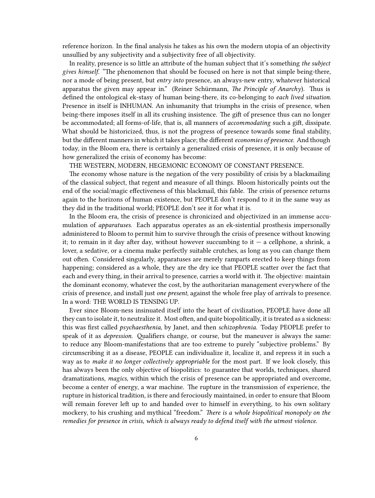reference horizon. In the final analysis he takes as his own the modern utopia of an objectivity unsullied by any subjectivity and a subjectivity free of all objectivity.

In reality, presence is so little an attribute of the human subject that it's something *the subject gives himself*. "The phenomenon that should be focused on here is not that simple being-there, nor a mode of being present, but *entry into* presence, an always-new entry, whatever historical apparatus the given may appear in." (Reiner Schürmann, *The Principle of Anarchy*). Thus is defined the ontological ek-stasy of human being-there, its co-belonging to *each lived situation*. Presence in itself is INHUMAN. An inhumanity that triumphs in the crisis of presence, when being-there imposes itself in all its crushing insistence. The gift of presence thus can no longer be accommodated; all forms-of-life, that is, all manners of *accommodating* such a gift, dissipate. What should be historicized, thus, is not the progress of presence towards some final stability, but the different manners in which it takes place; the different *economies of presence*. And though today, in the Bloom era, there is certainly a generalized crisis of presence, it is only because of how generalized the crisis of economy has become:

THE WESTERN, MODERN, HEGEMONIC ECONOMY OF CONSTANT PRESENCE.

The economy whose nature is the negation of the very possibility of crisis by a blackmailing of the classical subject, that regent and measure of all things. Bloom historically points out the end of the social/magic effectiveness of this blackmail, this fable. The crisis of presence returns again to the horizons of human existence, but PEOPLE don't respond to it in the same way as they did in the traditional world; PEOPLE don't see it for what it is.

In the Bloom era, the crisis of presence is chronicized and objectivized in an immense accumulation of *apparatuses*. Each apparatus operates as an ek-sistential prosthesis impersonally administered to Bloom to permit him to survive through the crisis of presence without knowing it; to remain in it day after day, without however succumbing to it  $-$  a cellphone, a shrink, a lover, a sedative, or a cinema make perfectly suitable crutches, as long as you can change them out often. Considered singularly, apparatuses are merely ramparts erected to keep things from happening; considered as a whole, they are the dry ice that PEOPLE scatter over the fact that each and every thing, in their arrival to presence, carries a world with it. The objective: maintain the dominant economy, whatever the cost, by the authoritarian management everywhere of the crisis of presence, and install just *one present,* against the whole free play of arrivals to presence. In a word: THE WORLD IS TENSING UP.

Ever since Bloom-ness insinuated itself into the heart of civilization, PEOPLE have done all they can to isolate it, to neutralize it. Most often, and quite biopolitically, it is treated as a sickness: this was first called *psychaesthenia,* by Janet, and then *schizophrenia.* Today PEOPLE prefer to speak of it as *depression*. Qualifiers change, or course, but the maneuver is always the same: to reduce any Bloom-manifestations that are too extreme to purely "subjective problems." By circumscribing it as a disease, PEOPLE can individualize it, localize it, and repress it in such a way as to *make it no longer collectively appropriable* for the most part. If we look closely, this has always been the only objective of biopolitics: to guarantee that worlds, techniques, shared dramatizations, *magics,* within which the crisis of presence can be appropriated and overcome, become a center of energy, a war machine. The rupture in the transmission of experience, the rupture in historical tradition, is there and ferociously maintained, in order to ensure that Bloom will remain forever left up to and handed over to himself in everything, to his own solitary mockery, to his crushing and mythical "freedom." *There is a whole biopolitical monopoly on the remedies for presence in crisis, which is always ready to defend itself with the utmost violence.*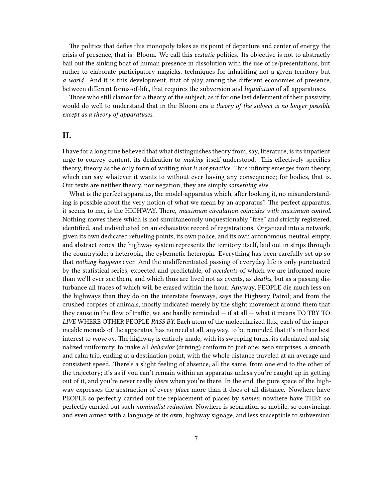The politics that defies this monopoly takes as its point of departure and center of energy the crisis of presence, that is: Bloom. We call this *ecstatic* politics. Its objective is not to abstractly bail out the sinking boat of human presence in dissolution with the use of re/presentations, but rather to elaborate participatory magicks, techniques for inhabiting not a given territory but *a world*. And it is this development, that of play among the different economies of presence, between different forms-of-life, that requires the subversion and *liquidation* of all apparatuses.

Those who still clamor for a theory of the subject, as if for one last deferment of their passivity, would do well to understand that in the Bloom era *a theory of the subject is no longer possible except as a theory of apparatuses.*

### <span id="page-6-0"></span>**II.**

I have for a long time believed that what distinguishes theory from, say, literature, is its impatient urge to convey content, its dedication to *making* itself understood. This effectively specifies theory, theory as the only form of writing *that is not practice*. Thus infinity emerges from theory, which can say whatever it wants to without ever having any consequence; for bodies, that is. Our texts are neither theory, nor negation; they are simply *something else.*

What is the perfect apparatus, the model-apparatus which, after looking it, no misunderstanding is possible about the very notion of what we mean by an apparatus? The perfect apparatus, it seems to me, is the HIGHWAY. There, *maximum circulation coincides with maximum control*. Nothing moves there which is not simultaneously unquestionably "free" and strictly registered, identified, and individuated on an exhaustive record of registrations. Organized into a network, given its own dedicated refueling points, its own police, and its own autonomous, neutral, empty, and abstract zones, the highway system represents the territory itself, laid out in strips through the countryside; a heteropia, the cybernetic heteropia. Everything has been carefully set up so that *nothing happens* ever. And the undifferentiated passing of everyday life is only punctuated by the statistical series, expected and predictable, of *accidents* of which we are informed more than we'll ever see them, and which thus are lived not as events, as *deaths*, but as a passing disturbance all traces of which will be erased within the hour. Anyway, PEOPLE die much less on the highways than they do on the interstate freeways, says the Highway Patrol; and from the crushed corpses of animals, mostly indicated merely by the slight movement around them that they cause in the flow of traffic, we are hardly reminded  $-$  if at all  $-$  what it means TO TRY TO *LIVE* WHERE OTHER PEOPLE *PASS BY.* Each atom of the molecularized flux, each of the impermeable monads of the apparatus, has no need at all, anyway, to be reminded that it's in their best interest to *move on.* The highway is entirely made, with its sweeping turns, its calculated and signalized uniformity, to make all *behavior* (driving) conform to just one: zero surprises, a smooth and calm trip, ending at a destination point, with the whole distance traveled at an average and consistent speed. There's a slight feeling of absence, all the same, from one end to the other of the trajectory; it's as if you can't remain within an apparatus unless you're caught up in getting out of it, and you're never really *there* when you're there. In the end, the pure space of the highway expresses the abstraction of every *place* more than it does of all distance. Nowhere have PEOPLE so perfectly carried out the replacement of places by *names*; nowhere have THEY so perfectly carried out such *nominalist reduction*. Nowhere is separation so mobile, so convincing, and even armed with a language of its own, highway signage, and less susceptible to subversion.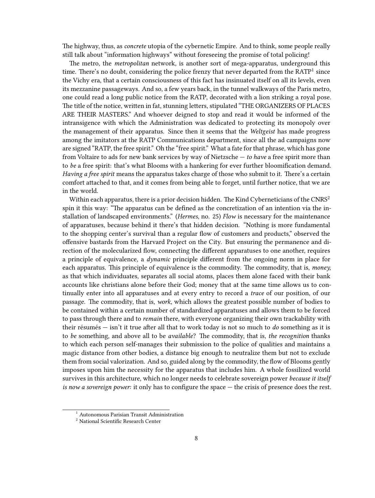The highway, thus, as *concrete* utopia of the cybernetic Empire. And to think, some people really still talk about "information highways" without foreseeing the promise of total policing!

The metro, the *metropolitan* network, is another sort of mega-apparatus, underground this time. There's no doubt, considering the police frenzy that never departed from the  $\text{RATP}^1$  since the Vichy era, that a certain consciousness of this fact has insinuated itself on all its levels, even its mezzanine passageways. And so, a few years back, in the tunnel walkways of the Paris metro, one could read a long public notice from the RATP, decorated with a lion striking a royal pose. The title of the notice, written in fat, stunning letters, stipulated "THE ORGANIZERS OF PLACES ARE THEIR MASTERS." And whoever deigned to stop and read it would be informed of the intransigence with which the Administration was dedicated to protecting its monopoly over the management of their apparatus. Since then it seems that the *Weltgeist* has made progress among the imitators at the RATP Communications department, since all the ad campaigns now are signed "RATP, the free spirit." Oh the "free spirit." What a fate for that phrase, which has gone from Voltaire to ads for new bank services by way of Nietzsche — *to have* a free spirit more than to *be* a free spirit: that's what Blooms with a hankering for ever further bloomification demand. *Having a free spirit* means the apparatus takes charge of those who submit to it. There's a certain comfort attached to that, and it comes from being able to forget, until further notice, that we are in the world.

Within each apparatus, there is a prior decision hidden. The Kind Cyberneticians of the  $CNRS<sup>2</sup>$ spin it this way: "The apparatus can be defined as the concretization of an intention via the installation of landscaped environments." (*Hermes*, no. 25) *Flow* is necessary for the maintenance of apparatuses, because behind it there's that hidden decision. "Nothing is more fundamental to the shopping center's survival than a regular flow of customers and products," observed the offensive bastards from the Harvard Project on the City. But ensuring the permanence and direction of the molecularized flow, connecting the different apparatuses to one another, requires a principle of equivalence, a *dynamic* principle different from the ongoing norm in place for each apparatus. This principle of equivalence is the commodity. The commodity, that is, *money,* as that which individuates, separates all social atoms, places them alone faced with their bank accounts like christians alone before their God; money that at the same time allows us to continually enter into all apparatuses and at every entry to record a *trace* of our position, of our passage. The commodity, that is, *work,* which allows the greatest possible number of bodies to be contained within a certain number of standardized apparatuses and allows them to be forced to pass through there and to *remain* there, with everyone organizing their own trackability with their résumés — isn't it true after all that to work today is not so much to *do* something as it is to *be* something, and above all to be *available*? The commodity, that is, *the recognition* thanks to which each person self-manages their submission to the police of qualities and maintains a magic distance from other bodies, a distance big enough to neutralize them but not to exclude them from social valorization. And so, guided along by the commodity, the flow of Blooms gently imposes upon him the necessity for the apparatus that includes him. A whole fossilized world survives in this architecture, which no longer needs to celebrate sovereign power *because it itself is now a sovereign power:* it only has to configure the space — the crisis of presence does the rest.

<sup>&</sup>lt;sup>1</sup> Autonomous Parisian Transit Administration

 $^{\rm 2}$  National Scientific Research Center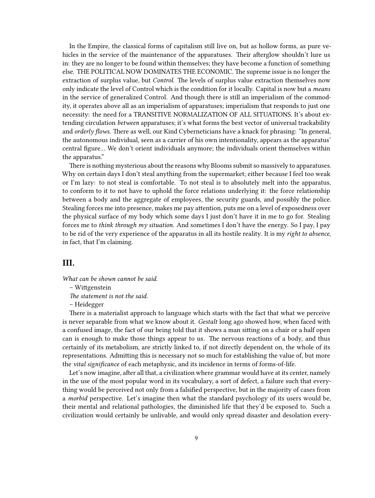In the Empire, the classical forms of capitalism still live on, but as hollow forms, as pure vehicles in the service of the maintenance of the apparatuses. Their afterglow shouldn't lure us in: they are no longer to be found within themselves; they have become a function of something else. THE POLITICAL NOW DOMINATES THE ECONOMIC. The supreme issue is no longer the extraction of surplus value, but *Control*. The levels of surplus value extraction themselves now only indicate the level of Control which is the condition for it locally. Capital is now but a *means* in the service of generalized Control. And though there is still an imperialism of the commodity, it operates above all as an imperialism of apparatuses; imperialism that responds to just one necessity: the need for a TRANSITIVE NORMALIZATION OF ALL SITUATIONS. It's about extending circulation *between* apparatuses; it's what forms the best vector of universal trackability and *orderly flows*. There as well, our Kind Cyberneticians have a knack for phrasing: "In general, the autonomous individual, seen as a carrier of his own intentionality, appears as the apparatus' central figure… We don't orient individuals anymore; the individuals orient themselves within the apparatus."

There is nothing mysterious about the reasons why Blooms submit so massively to apparatuses. Why on certain days I don't steal anything from the supermarket; either because I feel too weak or I'm lazy: to not steal is comfortable. To not steal is to absolutely melt into the apparatus, to conform to it to not have to uphold the force relations underlying it: the force relationship between a body and the aggregate of employees, the security guards, and possibly the police. Stealing forces me into presence, makes me pay attention, puts me on a level of exposedness over the physical surface of my body which some days I just don't have it in me to go for. Stealing forces me to *think through my situation*. And sometimes I don't have the energy. So I pay, I pay to be rid of the very experience of the apparatus in all its hostile reality. It is my *right to absence*, in fact, that I'm claiming.

## <span id="page-8-0"></span>**III.**

*What can be shown cannot be said.*

*The statement is not the said.*

– Heidegger

There is a materialist approach to language which starts with the fact that what we perceive is never separable from what we know about it. *Gestalt* long ago showed how, when faced with a confused image, the fact of our being told that it shows a man sitting on a chair or a half open can is enough to make those things appear to us. The nervous reactions of a body, and thus certainly of its metabolism, are strictly linked to, if not directly dependent on, the whole of its representations. Admitting this is necessary not so much for establishing the value of, but more the *vital significance* of each metaphysic, and its incidence in terms of forms-of-life.

Let's now imagine, after all that, a civilization where grammar would have at its center, namely in the use of the most popular word in its vocabulary, a sort of defect, a failure such that everything would be perceived not only from a falsified perspective, but in the majority of cases from a *morbid* perspective. Let's imagine then what the standard psychology of its users would be, their mental and relational pathologies, the diminished life that they'd be exposed to. Such a civilization would certainly be unlivable, and would only spread disaster and desolation every-

<sup>–</sup> Wittgenstein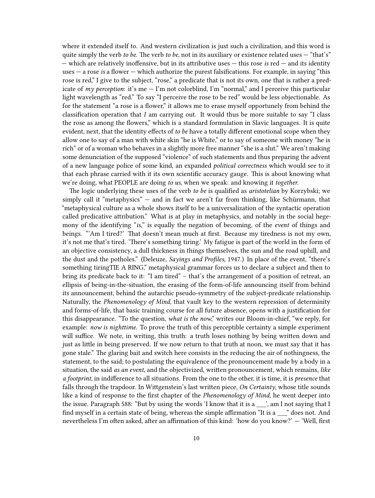where it extended itself to. And western civilization is just such a civilization, and this word is quite simply the verb *to be.* The verb *to be*, not in its auxiliary or existence related uses — "that's" — which are relatively inoffensive, but in its attributive uses — this rose *is* red — and its identity uses — a rose *is* a flower — which authorize the purest falsifications. For example, in saying "this rose is red," I give to the subject, "rose," a predicate that is not its own, one that is rather a predicate of  $my$  perception: it's me  $-$  I'm not colorblind, I'm "normal," and I perceive this particular light wavelength as "red." To say "I perceive the rose to be red" would be less objectionable. As for the statement "a rose is a flower," it allows me to erase myself opportunely from behind the classification operation that *I* am carrying out. It would thus be more suitable to say "I class the rose as among the flowers," which is a standard formulation in Slavic languages. It is quite evident, next, that the identity effects of *to be* have a totally different emotional scope when they allow one to say of a man with white skin "he is White," or to say of someone with money "he is rich" or of a woman who behaves in a slightly more free manner "she is a slut." We aren't making some denunciation of the supposed "violence" of such statements and thus preparing the advent of a new language police of some kind, an expanded *political correctness* which would see to it that each phrase carried with it its own scientific accuracy gauge. This is about knowing what we're doing, what PEOPLE are doing *to us*, when we speak: and knowing it *together.*

The logic underlying these uses of the verb *to be* is qualified as *aristotelian* by Korzybski; we simply call it "metaphysics" — and in fact we aren't far from thinking, like Schürmann, that "metaphysical culture as a whole shows itself to be a universalization of the syntactic operation called predicative attribution." What is at play in metaphysics, and notably in the social hegemony of the identifying "*is,*" is equally the negation of becoming, of the *event* of things and beings. "'Am I tired?' That doesn't mean much at first. Because my tiredness is not my own, it's not me that's tired. 'There's something tiring.' My fatigue is part of the world in the form of an objective consistency, a dull thickness in things themselves, the sun and the road uphill, and the dust and the potholes." (Deleuze, *Sayings and Profiles,* 1947.) In place of the event, "there's something tiringTIE A RING," metaphysical grammar forces us to declare a subject and then to bring its predicate back to it: "I am tired" – that's the arrangement of a position of retreat, an ellipsis of being-in-the-situation, the erasing of the form-of-life announcing itself from behind its announcement, behind the autarchic pseudo-symmetry of the subject-predicate relationship. Naturally, the *Phenomenology of Mind,* that vault key to the western repression of determinity and forms-of-life, that basic training course for all future absence, opens with a justification for this disappearance. "To the question, *what is the now*," writes our Bloom-in-chief, "we reply, for example: *now is nighttime.* To prove the truth of this perceptible certainty a simple experiment will suffice. We note, in writing, this truth: a truth loses nothing by being written down and just as little in being preserved. If we now return to that truth at noon, we must say that it has gone stale." The glaring bait and switch here consists in the reducing the air of nothingness, the statement, to the said; to postulating the equivalence of the pronouncement made by a body in a situation, the said *as an event*, and the objectivized, written pronouncement, which remains, *like a footprint,* in indifference to all situations. From the one to the other, it is time, it is *presence* that falls through the trapdoor. In Wittgenstein's last written piece, *On Certainty*, whose title sounds like a kind of response to the first chapter of the *Phenomenology of Mind,* he went deeper into the issue. Paragraph 588: "But by using the words 'I know that it is a \_\_\_', am I not saying that I find myself in a certain state of being, whereas the simple affirmation "It is a \_\_\_" does not. And nevertheless I'm often asked, after an affirmation of this kind: 'how do you know?' — 'Well, first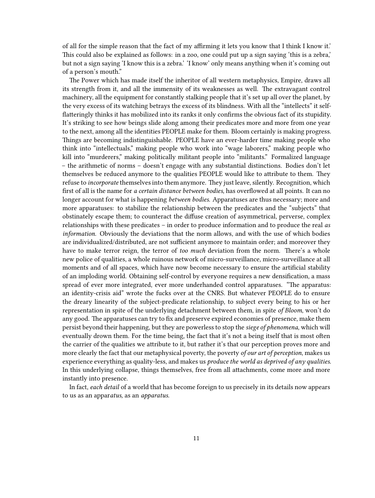of all for the simple reason that the fact of my affirming it lets you know that I think I know it.' This could also be explained as follows: in a zoo, one could put up a sign saying 'this is a zebra,' but not a sign saying 'I know this is a zebra.' 'I know' only means anything when it's coming out of a person's mouth."

The Power which has made itself the inheritor of all western metaphysics, Empire, draws all its strength from it, and all the immensity of its weaknesses as well. The extravagant control machinery, all the equipment for constantly stalking people that it's set up all over the planet, by the very excess of its watching betrays the excess of its blindness. With all the "intellects" it selfflatteringly thinks it has mobilized into its ranks it only confirms the obvious fact of its stupidity. It's striking to see how beings slide along among their predicates more and more from one year to the next, among all the identities PEOPLE make for them. Bloom certainly is making progress. Things are becoming indistinguishable. PEOPLE have an ever-harder time making people who think into "intellectuals," making people who work into "wage laborers," making people who kill into "murderers," making politically militant people into "militants." Formalized language – the arithmetic of norms – doesn't engage with any substantial distinctions. Bodies don't let themselves be reduced anymore to the qualities PEOPLE would like to attribute to them. They refuse to *incorporate* themselves into them anymore. They just leave, silently. Recognition, which first of all is the name for *a certain distance between bodies*, has overflowed at all points. It can no longer account for what is happening *between bodies*. Apparatuses are thus necessary; more and more apparatuses: to stabilize the relationship between the predicates and the "subjects" that obstinately escape them; to counteract the diffuse creation of asymmetrical, perverse, complex relationships with these predicates – in order to produce information and to produce the real *as information*. Obviously the deviations that the norm allows, and with the use of which bodies are individualized/distributed, are not sufficient anymore to maintain order; and moreover they have to make terror reign, the terror of *too much* deviation from the norm. There's a whole new police of qualities, a whole ruinous network of micro-surveillance, micro-surveillance at all moments and of all spaces, which have now become necessary to ensure the artificial stability of an imploding world. Obtaining self-control by everyone requires a new densification, a mass spread of ever more integrated, ever more underhanded control apparatuses. "The apparatus: an identity-crisis aid" wrote the fucks over at the CNRS. But whatever PEOPLE do to ensure the dreary linearity of the subject-predicate relationship, to subject every being to his or her representation in spite of the underlying detachment between them, in spite *of Bloom*, won't do any good. The apparatuses can try to fix and preserve expired economies of presence, make them persist beyond their happening, but they are powerless to stop the *siege of phenomena*, which will eventually drown them. For the time being, the fact that it's not a being itself that is most often the carrier of the qualities we attribute to it, but rather it's that our perception proves more and more clearly the fact that our metaphysical poverty, the poverty *of our art of perception*, makes us experience everything as quality-less, and makes us *produce the world as deprived of any qualities*. In this underlying collapse, things themselves, free from all attachments, come more and more instantly into presence.

In fact, *each detail* of a world that has become foreign to us precisely in its details now appears to us as an appar*atus,* as an *apparatus.*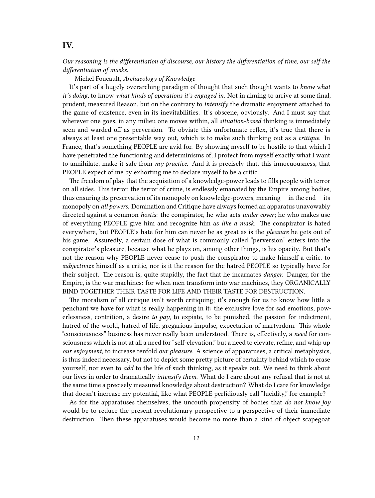## <span id="page-11-0"></span>**IV.**

*Our reasoning is the differentiation of discourse, our history the differentiation of time, our self the differentiation of masks.*

– Michel Foucault, *Archaeology of Knowledge*

It's part of a hugely overarching paradigm of thought that such thought wants to *know what it's doing,* to know *what kinds of operations it's engaged in.* Not in aiming to arrive at some final, prudent, measured Reason, but on the contrary to *intensify* the dramatic enjoyment attached to the game of existence, even in its inevitabilities. It's obscene, obviously. And I must say that wherever one goes, in any milieu one moves within, all *situation-based* thinking is immediately seen and warded off as perversion. To obviate this unfortunate reflex, it's true that there is always at least one presentable way out, which is to make such thinking out as a *critique*. In France, that's something PEOPLE are avid for. By showing myself to be hostile to that which I have penetrated the functioning and determinisms of, I protect from myself exactly what I want to annihilate, make it safe from *my practice.* And it is precisely that, this innocuousness, that PEOPLE expect of me by exhorting me to declare myself to be a critic.

The freedom of play that the acquisition of a knowledge-power leads to fills people with terror on all sides. This terror, the terror of crime, is endlessly emanated by the Empire among bodies, thus ensuring its preservation of its monopoly on knowledge-powers, meaning  $-$  in the end  $-$  its monopoly on *all powers*. Domination and Critique have always formed an apparatus unavowably directed against a common *hostis*: the conspirator, he who acts *under cover*; he who makes use of everything PEOPLE give him and recognize him as *like a mask.* The conspirator is hated everywhere, but PEOPLE's hate for him can never be as great as is the *pleasure* he gets out of his game. Assuredly, a certain dose of what is commonly called "perversion" enters into the conspirator's pleasure, because what he plays on, among other things, is his opacity. But that's not the reason why PEOPLE never cease to push the conspirator to make himself a critic, to *subjectivize* himself as a critic, nor is it the reason for the hatred PEOPLE so typically have for their subject. The reason is, quite stupidly, the fact that he incarnates *danger*. Danger, for the Empire, is the war machines: for when men transform into war machines, they ORGANICALLY BIND TOGETHER THEIR TASTE FOR LIFE AND THEIR TASTE FOR DESTRUCTION.

The moralism of all critique isn't worth critiquing; it's enough for us to know how little a penchant we have for what is really happening in it: the exclusive love for sad emotions, powerlessness, contrition, a desire *to pay*, to expiate, to be punished, the passion for indictment, hatred of the world, hatred of life, gregarious impulse, expectation of martyrdom. This whole "consciousness" business has never really been understood. There is, effectively, a *need* for consciousness which is not at all a need for "self-elevation," but a need to elevate, refine, and whip up *our enjoyment*, to increase tenfold *our pleasure*. A science of apparatuses, a critical metaphysics, is thus indeed necessary, but not to depict some pretty picture of certainty behind which to erase yourself, nor even to *add* to the life of such thinking, as it speaks out. We need to think about our lives in order to dramatically *intensify them*. What do I care about any refusal that is not at the same time a precisely measured knowledge about destruction? What do I care for knowledge that doesn't increase my potential, like what PEOPLE perfidiously call "lucidity," for example?

As for the apparatuses themselves, the uncouth propensity of bodies that *do not know joy* would be to reduce the present revolutionary perspective to a perspective of their immediate destruction. Then these apparatuses would become no more than a kind of object scapegoat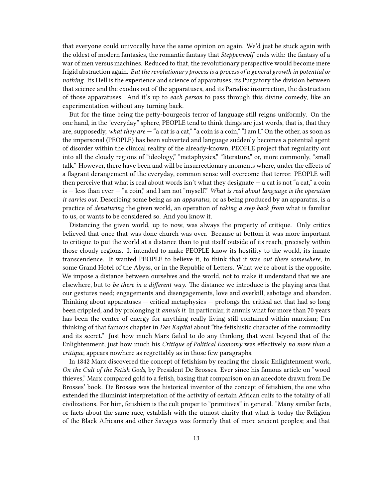that everyone could univocally have the same opinion on again. We'd just be stuck again with the oldest of modern fantasies, the romantic fantasy that *Steppenwolf* ends with: the fantasy of a war of men versus machines. Reduced to that, the revolutionary perspective would become mere frigid abstraction again. *But the revolutionary process is a process of a general growth in potential or nothing.* Its Hell is the experience and science of apparatuses, its Purgatory the division between that science and the exodus out of the apparatuses, and its Paradise insurrection, the destruction of those apparatuses. And it's up to *each person* to pass through this divine comedy, like an experimentation without any turning back.

But for the time being the petty-bourgeois terror of language still reigns uniformly. On the one hand, in the "everyday" sphere, PEOPLE tend to think things are just words, that is, that they are, supposedly, *what they are* — "a cat is a cat," "a coin is a coin," "I am I." On the other, as soon as the impersonal (PEOPLE) has been subverted and language suddenly becomes a potential agent of disorder within the clinical reality of the already-known, PEOPLE project that regularity out into all the cloudy regions of "ideology," "metaphysics," "literature," or, more commonly, "small talk." However, there have been and will be insurrectionary moments where, under the effects of a flagrant derangement of the everyday, common sense will overcome that terror. PEOPLE will then perceive that what is real about words isn't what they designate — a cat is not "a cat," a coin is — less than ever — "a coin," and I am not "myself." *What is real about language is the operation it carries out.* Describing some being as an *apparatus*, or as being produced by an apparatus, is a practice of *denaturing* the given world, an operation of *taking a step back from* what is familiar to us, or wants to be considered so. And you know it.

Distancing the given world, up to now, was always the property of critique. Only critics believed that once that was done church was over. Because at bottom it was more important to critique to put the world at a distance than to put itself outside of its reach, precisely within those cloudy regions. It intended to make PEOPLE know its hostility to the world, its innate transcendence. It wanted PEOPLE to believe it, to think that it was *out there somewhere*, in some Grand Hotel of the Abyss, or in the Republic of Letters. What we're about is the opposite. We impose a distance between ourselves and the world, not to make it understand that we are elsewhere, but to *be there in a different way*. The distance we introduce is the playing area that our gestures need; engagements and disengagements, love and overkill, sabotage and abandon. Thinking about apparatuses — critical metaphysics — prolongs the critical act that had so long been crippled, and by prolonging it *annuls it*. In particular, it annuls what for more than 70 years has been the center of energy for anything really living still contained within marxism; I'm thinking of that famous chapter in *Das Kapital* about "the fetishistic character of the commodity and its secret." Just how much Marx failed to do any thinking that went beyond that of the Enlightenment, just how much his *Critique of Political Economy* was effectively *no more than a critique*, appears nowhere as regrettably as in those few paragraphs.

In 1842 Marx discovered the concept of fetishism by reading the classic Enlightenment work, *On the Cult of the Fetish Gods*, by President De Brosses. Ever since his famous article on "wood thieves," Marx compared gold to a fetish, basing that comparison on an anecdote drawn from De Brosses' book. De Brosses was the historical inventor of the concept of fetishism, the one who extended the illuminist interpretation of the activity of certain African cults to the totality of all civilizations. For him, fetishism is the cult proper to "primitives" in general. "Many similar facts, or facts about the same race, establish with the utmost clarity that what is today the Religion of the Black Africans and other Savages was formerly that of more ancient peoples; and that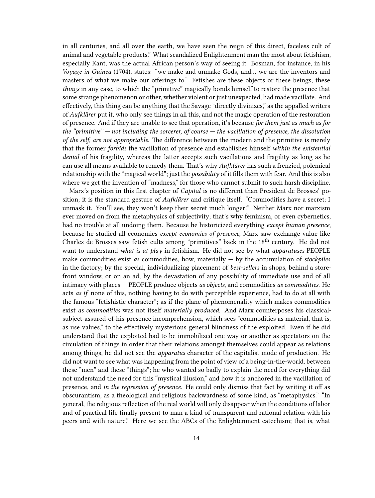in all centuries, and all over the earth, we have seen the reign of this direct, faceless cult of animal and vegetable products." What scandalized Enlightenment man the most about fetishism, especially Kant, was the actual African person's way of seeing it. Bosman, for instance, in his *Voyage in Guinea* (1704), states: "we make and unmake Gods, and… we are the inventors and masters of what we make our offerings to." Fetishes are these objects or these beings, these *things* in any case, to which the "primitive" magically bonds himself to restore the presence that some strange phenomenon or other, whether violent or just unexpected, had made vacillate. And effectively, this thing can be anything that the Savage "directly divinizes," as the appalled writers of *Aufklärer* put it, who only see things in all this, and not the magic operation of the restoration of presence. And if they are unable to see that operation, it's because *for them just as much as for the "primitive" — not including the sorcerer, of course — the vacillation of presence, the dissolution of the self, are not appropriable.* The difference between the modern and the primitive is merely that the former *forbids* the vacillation of presence and establishes himself *within the existential denial* of his fragility, whereas the latter accepts such vacillations and fragility as long as he can use all means available to remedy them. That's why *Aufklärer* has such a frenzied, polemical relationship with the "magical world"; just the *possibility* of it fills them with fear. And this is also where we get the invention of "madness," for those who cannot submit to such harsh discipline.

Marx's position in this first chapter of *Capital* is no different than President de Brosses' position; it is the standard gesture of *Aufklärer* and critique itself. "Commodities have a secret; I unmask it. You'll see, they won't keep their secret much longer!" Neither Marx nor marxism ever moved on from the metaphysics of subjectivity; that's why feminism, or even cybernetics, had no trouble at all undoing them. Because he historicized everything *except human presence*, because he studied all economies *except economies of presence*, Marx saw exchange value like Charles de Brosses saw fetish cults among "primitives" back in the 18<sup>th</sup> century. He did not want to understand *what is at play* in fetishism. He did not see by what *apparatuses* PEOPLE make commodities exist *as* commodities, how, materially — by the accumulation of *stockpiles* in the factory; by the special, individualizing placement of *best-sellers* in shops, behind a storefront window, or on an ad; by the devastation of any possibility of immediate use and of all intimacy with places — PEOPLE produce objects *as objects*, and commodities *as commodities.* He acts *as if* none of this, nothing having to do with perceptible experience, had to do at all with the famous "fetishistic character"; as if the plane of phenomenality which makes commodities exist *as commodities* was not itself *materially produced*. And Marx counterposes his classicalsubject-assured-of-his-presence incomprehension, which sees "commodities as material, that is, as use values," to the effectively mysterious general blindness of the exploited. Even if he did understand that the exploited had to be immobilized one way or another as spectators on the circulation of things in order that their relations amongst themselves could appear as relations among things, he did not see the *apparatus* character of the capitalist mode of production. He did not want to see what was happening from the point of view of a being-in-the-world, between these "men" and these "things"; he who wanted so badly to explain the need for everything did not understand the need for this "mystical illusion," and how it is anchored in the vacillation of presence, and *in the repression of presence*. He could only dismiss that fact by writing it off as obscurantism, as a theological and religious backwardness of some kind, as "metaphysics." "In general, the religious reflection of the real world will only disappear when the conditions of labor and of practical life finally present to man a kind of transparent and rational relation with his peers and with nature." Here we see the ABCs of the Enlightenment catechism; that is, what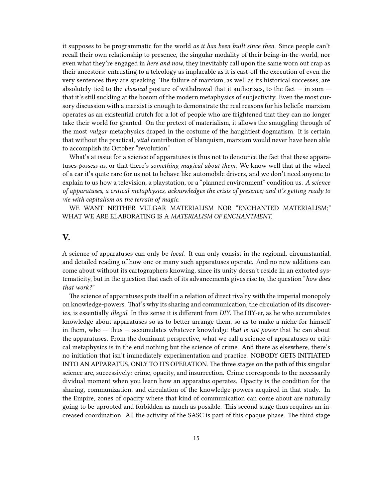it supposes to be programmatic for the world *as it has been built since then*. Since people can't recall their own relationship to presence, the singular modality of their being-in-the-world, nor even what they're engaged in *here and now*, they inevitably call upon the same worn out crap as their ancestors: entrusting to a teleology as implacable as it is cast-off the execution of even the very sentences they are speaking. The failure of marxism, as well as its historical successes, are absolutely tied to the *classical* posture of withdrawal that it authorizes, to the fact — in sum that it's still suckling at the bosom of the modern metaphysics of subjectivity. Even the most cursory discussion with a marxist is enough to demonstrate the real reasons for his beliefs: marxism operates as an existential crutch for a lot of people who are frightened that they can no longer take their world for granted. On the pretext of materialism, it allows the smuggling through of the most *vulgar* metaphysics draped in the costume of the haughtiest dogmatism. It is certain that without the practical, *vital* contribution of blanquism, marxism would never have been able to accomplish its October "revolution."

What's at issue for a science of apparatuses is thus not to denounce the fact that these apparatuses *possess us*, or that there's *something magical about them*. We know well that at the wheel of a car it's quite rare for us not to behave like automobile drivers, and we don't need anyone to explain to us how a television, a playstation, or a "planned environment" condition us. *A science of apparatuses, a critical metaphysics, acknowledges the crisis of presence; and it's getting ready to vie with capitalism on the terrain of magic.*

WE WANT NEITHER VULGAR MATERIALISM NOR "ENCHANTED MATERIALISM;" WHAT WE ARE ELABORATING IS A *MATERIALISM OF ENCHANTMENT.*

#### <span id="page-14-0"></span>**V.**

A science of apparatuses can only be *local.* It can only consist in the regional, circumstantial, and detailed reading of how one or many such apparatuses operate. And no new additions can come about without its cartographers knowing, since its unity doesn't reside in an extorted systematicity, but in the question that each of its advancements gives rise to, the question "*how does that work?*"

The science of apparatuses puts itself in a relation of direct rivalry with the imperial monopoly on knowledge-powers. That's why its sharing and communication, the circulation of its discoveries, is essentially *illegal*. In this sense it is different from *DIY*. The DIY-er, as he who accumulates knowledge about apparatuses so as to better arrange them, so as to make a niche for himself in them, who — thus — accumulates whatever knowledge *that is not power* that he can about the apparatuses*.* From the dominant perspective, what we call a science of apparatuses or critical metaphysics is in the end nothing but the science of crime. And there as elsewhere, there's no initiation that isn't immediately experimentation and practice. NOBODY GETS INITIATED INTO AN APPARATUS, ONLY TO ITS OPERATION*.* The three stages on the path of this singular science are, successively: crime, opacity, and insurrection. Crime corresponds to the necessarily dividual moment when you learn how an apparatus operates. Opacity is the condition for the sharing, communization, and circulation of the knowledge-powers acquired in that study. In the Empire, zones of opacity where that kind of communication can come about are naturally going to be uprooted and forbidden as much as possible. This second stage thus requires an increased coordination. All the activity of the SASC is part of this opaque phase. The third stage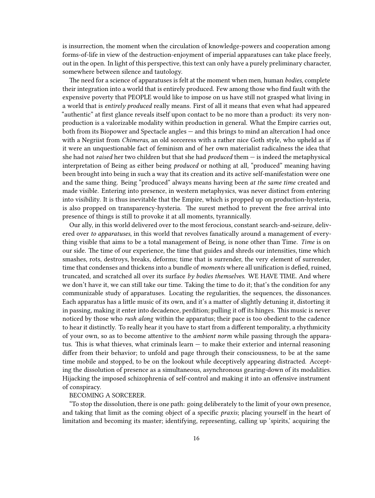is insurrection, the moment when the circulation of knowledge-powers and cooperation among forms-of-life in view of the destruction-enjoyment of imperial apparatuses can take place freely, out in the open. In light of this perspective, this text can only have a purely preliminary character, somewhere between silence and tautology.

The need for a science of apparatuses is felt at the moment when men, human *bodies*, complete their integration into a world that is entirely produced. Few among those who find fault with the expensive poverty that PEOPLE would like to impose on us have still not grasped what living in a world that is *entirely produced* really means. First of all it means that even what had appeared "authentic" at first glance reveals itself upon contact to be no more than a product: its very nonproduction is a valorizable modality within production in general. What the Empire carries out, both from its Biopower and Spectacle angles — and this brings to mind an altercation I had once with a Negriist from *Chimeras,* an old sorceress with a rather nice Goth style, who upheld as if it were an unquestionable fact of feminism and of her own materialist radicalness the idea that she had not *raised* her two children but that she had *produced* them — is indeed the metaphysical interpretation of Being as either being *produced* or nothing at all, "produced" meaning having been brought into being in such a way that its creation and its active self-manifestation were one and the same thing. Being "produced" always means having been *at the same time* created and made visible. Entering into presence, in western metaphysics, was never distinct from entering into visibility. It is thus inevitable that the Empire, which is propped up on production-hysteria, is also propped on transparency-hysteria. The surest method to prevent the free arrival into presence of things is still to provoke it at all moments, tyrannically.

Our ally, in this world delivered over to the most ferocious, constant search-and-seizure, delivered over *to apparatuses*, in this world that revolves fanatically around a management of everything visible that aims to be a total management of Being, is none other than Time. *Time* is on our side. The time of our experience, the time that guides and shreds our intensities, time which smashes, rots, destroys, breaks, deforms; time that is surrender, the very element of surrender, time that condenses and thickens into a bundle of *moments* where all unification is defied, ruined, truncated, and scratched all over its surface *by bodies themselves*. WE HAVE TIME. And where we don't have it, we can still take our time. Taking the time to do it; that's the condition for any communizable study of apparatuses. Locating the regularities, the sequences, the dissonances. Each apparatus has a little music of its own, and it's a matter of slightly detuning it, distorting it in passing, making it enter into decadence, perdition; pulling it off its hinges. This music is never noticed by those who *rush along* within the apparatus; their pace is too obedient to the cadence to hear it distinctly. To really hear it you have to start from a different temporality, a rhythmicity of your own, so as to become attentive to the *ambient norm* while passing through the apparatus. This is what thieves, what criminals learn  $-$  to make their exterior and internal reasoning differ from their behavior; to unfold and page through their consciousness, to be at the same time mobile and stopped, to be on the lookout while deceptively appearing distracted. Accepting the dissolution of presence as a simultaneous, asynchronous gearing-down of its modalities. Hijacking the imposed schizophrenia of self-control and making it into an offensive instrument of conspiracy.

#### BECOMING A SORCERER.

"To stop the dissolution, there is one path: going deliberately to the limit of your own presence, and taking that limit as the coming object of a specific *praxis*; placing yourself in the heart of limitation and becoming its master; identifying, representing, calling up 'spirits,' acquiring the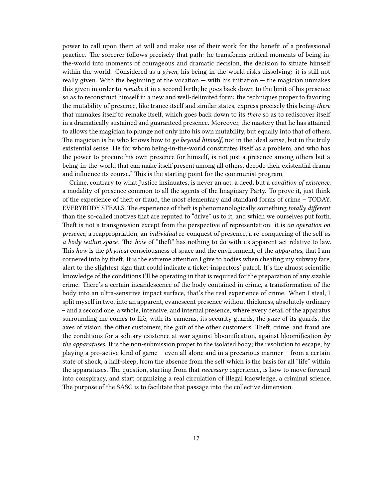power to call upon them at will and make use of their work for the benefit of a professional practice. The sorcerer follows precisely that path: he transforms critical moments of being-inthe-world into moments of courageous and dramatic decision, the decision to situate himself within the world. Considered as a *given*, his being-in-the-world risks dissolving: it is still not really given. With the beginning of the vocation  $-\text{ with his initiation} - \text{ the magician unmakes}$ this given in order to *remake* it in a second birth; he goes back down to the limit of his presence so as to reconstruct himself in a new and well-delimited form: the techniques proper to favoring the mutability of presence, like trance itself and similar states, express precisely this being-*there* that unmakes itself to remake itself, which goes back down to its *there* so as to rediscover itself in a dramatically sustained and guaranteed presence. Moreover, the mastery that he has attained to allows the magician to plunge not only into his own mutability, but equally into that of others. The magician is he who knows how to *go beyond himself*, not in the ideal sense, but in the truly existential sense. He for whom being-in-the-world constitutes itself as a problem, and who has the power to procure his own presence for himself, is not just a presence among others but a being-in-the-world that can make itself present among all others, decode their existential drama and influence its course." This is the starting point for the communist program.

Crime, contrary to what Justice insinuates, is never an act, a deed, but a *condition of existence*, a modality of presence common to all the agents of the Imaginary Party. To prove it, just think of the experience of theft or fraud, the most elementary and standard forms of crime – TODAY, EVERYBODY STEALS. The experience of theft is phenomenologically something *totally different* than the so-called motives that are reputed to "drive" us to it, and which we ourselves put forth. Theft is not a transgression except from the perspective of representation: it is *an operation on presence,* a reappropriation, an *individual* re-conquest of presence, a re-conquering of the self *as a body within space*. The *how* of "theft" has nothing to do with its apparent act relative to law. This *how* is the *physical* consciousness of space and the environment, of the *apparatus,* that I am cornered into by theft. It is the extreme attention I give to bodies when cheating my subway fare, alert to the slightest sign that could indicate a ticket-inspectors' patrol. It's the almost scientific knowledge of the conditions I'll be operating in that is required for the preparation of any sizable crime. There's a certain incandescence of the body contained in crime, a transformation of the body into an ultra-sensitive impact surface, that's the real experience of crime. When I steal, I split myself in two, into an apparent, evanescent presence without thickness, absolutely ordinary – and a second one, a whole, intensive, and internal presence, where every detail of the apparatus surrounding me comes to life, with its cameras, its security guards, the *gaze* of its guards, the axes of vision, the other customers, the *gait* of the other customers. Theft, crime, and fraud are the conditions for a solitary existence at war against bloomification, against bloomification *by the apparatuses*. It is the non-submission proper to the isolated body; the resolution to escape, by playing a pro-active kind of game – even all alone and in a precarious manner – from a certain state of shock, a half-sleep, from the absence from the self which is the basis for all "life" within the apparatuses. The question, starting from that *necessary* experience, is how to move forward into conspiracy, and start organizing a real circulation of illegal knowledge, a criminal science. The purpose of the SASC is to facilitate that passage into the collective dimension.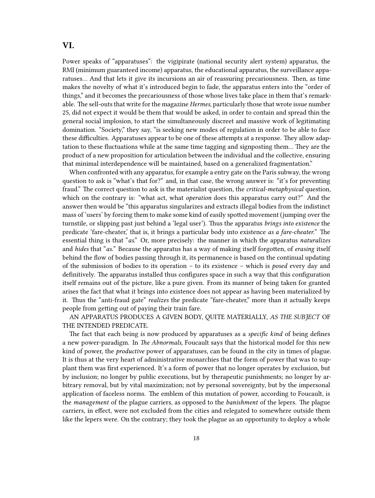## <span id="page-17-0"></span>**VI.**

Power speaks of "apparatuses": the vigipirate (national security alert system) apparatus, the RMI (minimum guaranteed income) apparatus, the educational apparatus, the surveillance apparatuses… And that lets it give its incursions an air of reassuring precariousness. Then, as time makes the novelty of what it's introduced begin to fade, the apparatus enters into the "order of things," and it becomes the precariousness of those whose lives take place in them that's remarkable. The sell-outs that write for the magazine *Hermes*, particularly those that wrote issue number 25, did not expect it would be them that would be asked, in order to contain and spread thin the general social implosion, to start the simultaneously discreet and massive work of legitimating domination. "Society," they say, "is seeking new modes of regulation in order to be able to face these difficulties. Apparatuses appear to be one of these attempts at a response. They allow adaptation to these fluctuations while at the same time tagging and signposting them… They are the product of a new proposition for articulation between the individual and the collective, ensuring that minimal interdependence will be maintained, based on a generalized fragmentation."

When confronted with any apparatus, for example a entry gate on the Paris subway, the wrong question to ask is "what's that for?" and, in that case, the wrong answer is: "it's for preventing fraud." The correct question to ask is the materialist question, the *critical-metaphysical* question, which on the contrary is: "what act, what *operation* does this apparatus carry out?" And the answer then would be "this apparatus singularizes and extracts illegal bodies from the indistinct mass of 'users' by forcing them to make some kind of easily spotted movement (jumping over the turnstile, or slipping past just behind a 'legal user'). Thus the apparatus *brings into existence* the predicate 'fare-cheater,' that is, it brings a particular body into existence *as a fare-cheater.*" The essential thing is that "*as*." Or, more precisely: the manner in which the apparatus *naturalizes* and *hides* that "*as.*" Because the apparatus has a way of making itself forgotten, of *erasing* itself behind the flow of bodies passing through it, its permanence is based on the continual updating of the submission of bodies to its operation – to its existence – which is *posed* every day and definitively. The apparatus installed thus configures space in such a way that this configuration itself remains out of the picture, like a pure given. From its manner of being taken for granted arises the fact that what it brings into existence does not appear as having been materialized by it. Thus the "anti-fraud gate" *realizes* the predicate "fare-cheater," more than it actually keeps people from getting out of paying their train fare.

AN APPARATUS PRODUCES A GIVEN BODY, QUITE MATERIALLY, *AS THE SUBJECT* OF THE INTENDED PREDICATE.

The fact that each being is now produced by apparatuses as a *specific kind* of being defines a new power-paradigm. In *The Abnormals*, Foucault says that the historical model for this new kind of power, the *productive* power of apparatuses, can be found in the city in times of plague. It is thus at the very heart of administrative monarchies that the form of power that was to supplant them was first experienced. It's a form of power that no longer operates by exclusion, but by inclusion; no longer by public executions, but by therapeutic punishments; no longer by arbitrary removal, but by vital maximization; not by personal sovereignty, but by the impersonal application of faceless norms. The emblem of this mutation of power, according to Foucault, is the *management* of the plague carriers, as opposed to the *banishment* of the lepers. The plague carriers, in effect, were not excluded from the cities and relegated to somewhere outside them like the lepers were. On the contrary; they took the plague as an opportunity to deploy a whole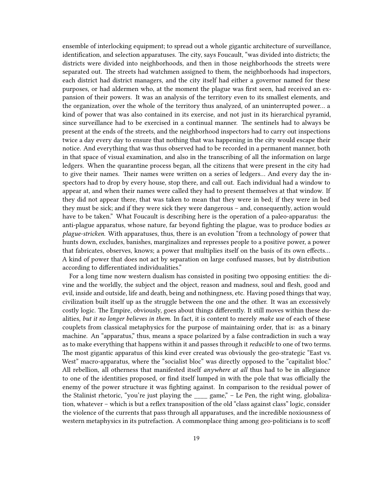ensemble of interlocking equipment; to spread out a whole gigantic architecture of surveillance, identification, and selection apparatuses. The city, says Foucault, "was divided into districts; the districts were divided into neighborhoods, and then in those neighborhoods the streets were separated out. The streets had watchmen assigned to them, the neighborhoods had inspectors, each district had district managers, and the city itself had either a governor named for these purposes, or had aldermen who, at the moment the plague was first seen, had received an expansion of their powers. It was an analysis of the territory even to its smallest elements, and the organization, over the whole of the territory thus analyzed, of an uninterrupted power… a kind of power that was also contained in its exercise, and not just in its hierarchical pyramid, since surveillance had to be exercised in a continual manner. The sentinels had to always be present at the ends of the streets, and the neighborhood inspectors had to carry out inspections twice a day every day to ensure that nothing that was happening in the city would escape their notice. And everything that was thus observed had to be recorded in a permanent manner, both in that space of visual examination, and also in the transcribing of all the information on large ledgers. When the quarantine process began, all the citizens that were present in the city had to give their names. Their names were written on a series of ledgers… And every day the inspectors had to drop by every house, stop there, and call out. Each individual had a window to appear at, and when their names were called they had to present themselves at that window. If they did not appear there, that was taken to mean that they were in bed; if they were in bed they must be sick; and if they were sick they were dangerous – and, consequently, action would have to be taken." What Foucault is describing here is the operation of a paleo-apparatus: the anti-plague apparatus, whose nature, far beyond fighting the plague, was to produce bodies *as plague-stricken*. With apparatuses, thus, there is an evolution "from a technology of power that hunts down, excludes, banishes, marginalizes and represses people to a positive power, a power that fabricates, observes, knows; a power that multiplies itself on the basis of its own effects… A kind of power that does not act by separation on large confused masses, but by distribution according to differentiated individualities."

For a long time now western dualism has consisted in positing two opposing entities: the divine and the worldly, the subject and the object, reason and madness, soul and flesh, good and evil, inside and outside, life and death, being and nothingness, etc. Having posed things that way, civilization built itself up as the struggle between the one and the other. It was an excessively costly logic. The Empire, obviously, goes about things differently. It still moves within these dualities, *but it no longer believes in them.* In fact, it is content to merely *make use* of each of these couplets from classical metaphysics for the purpose of maintaining order, that is: as a binary machine. An "apparatus," thus, means a space polarized by a false contradiction in such a way as to make everything that happens within it and passes through it *reducible* to one of two terms. The most gigantic apparatus of this kind ever created was obviously the geo-strategic "East vs. West" macro-apparatus, where the "socialist bloc" was directly opposed to the "capitalist bloc." All rebellion, all otherness that manifested itself *anywhere at all* thus had to be in allegiance to one of the identities proposed, or find itself lumped in with the pole that was officially the enemy of the power structure it was fighting against. In comparison to the residual power of the Stalinist rhetoric, "you're just playing the game," – Le Pen, the right wing, globalization, whatever – which is but a reflex transposition of the old "class against class" logic, consider the violence of the currents that pass through all apparatuses, and the incredible noxiousness of western metaphysics in its putrefaction. A commonplace thing among geo-politicians is to scoff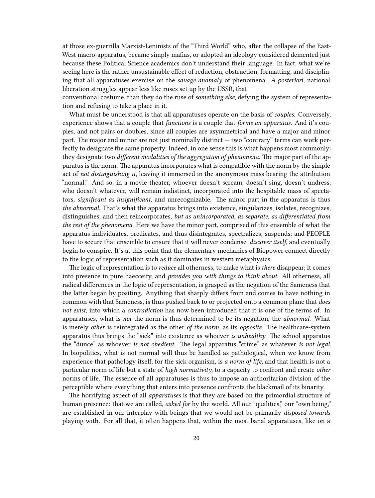at those ex-guerrilla Marxist-Leninists of the "Third World" who, after the collapse of the East-West macro-apparatus, became simply mafias, or adopted an ideology considered demented just because these Political Science academics don't understand their language. In fact, what we're seeing here is the rather unsustainable effect of reduction, obstruction, formatting, and disciplining that all apparatuses exercise on the *savage anomaly* of phenomena. *A posteriori*, national liberation struggles appear less like ruses set up by the USSR, that

conventional costume, than they do the ruse of *something else,* defying the system of representation and refusing to take a place in it.

What must be understood is that all apparatuses operate on the basis of *couples.* Conversely, experience shows that a couple that *functions* is a couple that *forms an apparatus*. And it's couples, and not pairs or doubles, since all couples are asymmetrical and have a major and minor part. The major and minor are not just nominally distinct — two "contrary" terms can work perfectly to designate the same property. Indeed, in one sense this is what happens most commonly: they designate two *different modalities of the aggregation of phenomena.* The major part of the apparatus is the norm. The apparatus incorporates what is compatible with the norm by the simple act of *not distinguishing it*, leaving it immersed in the anonymous mass bearing the attribution "normal." And so, in a movie theater, whoever doesn't scream, doesn't sing, doesn't undress, who doesn't whatever, will remain indistinct, incorporated into the hospitable mass of spectators, *significant as insignificant*, and unrecognizable. The minor part in the apparatus is thus *the abnormal.* That's what the apparatus brings into existence, singularizes, isolates, recognizes, distinguishes, and then reincorporates, *but as unincorporated, as separate, as differentiated from the rest of the phenomena.* Here we have the minor part, comprised of this ensemble of what the apparatus individuates, predicates, and thus disintegrates, spectralizes, suspends; and PEOPLE have to secure that ensemble to ensure that it will never condense, *discover itself*, and eventually begin to conspire. It's at this point that the elementary mechanics of Biopower connect directly to the logic of representation such as it dominates in western metaphysics.

The logic of representation is to *reduce* all otherness, to make what is *there* disappear; it comes into presence in pure haecceity, and *provides you with things to think about.* All otherness, all radical differences in the logic of representation, is grasped as the negation of the Sameness that the latter began by positing. Anything that sharply differs from and comes to have nothing in common with that Sameness, is thus pushed back to or projected onto a common plane that *does not exist*, into which a *contradiction* has now been introduced that it is one of the terms of. In apparatuses, what is *not* the norm is thus determined to be its negation, the *abnormal.* What is merely *other* is reintegrated as the other *of the norm*, as its *opposite.* The healthcare-system apparatus thus brings the "sick" into existence as whoever *is unhealthy*. The school apparatus the "dunce" as whoever *is not obedient*. The legal apparatus "crime" as whatever *is not legal*. In biopolitics, what is not normal will thus be handled as pathological, when we know from experience that pathology itself, for the sick organism, is *a norm of life*, and that health is not a particular norm of life but a state of *high normativity*, to a capacity to confront and create *other* norms of life. The essence of all apparatuses is thus to impose an authoritarian division of the perceptible where everything that enters into presence confronts the blackmail of its binarity.

The horrifying aspect of all *apparatuses* is that they are based on the primordial structure of human presence: that we are called, *asked for* by the world. All our "qualities," our "own being," are established in our interplay with beings that we would not be primarily *disposed towards* playing with. For all that, it often happens that, within the most banal apparatuses, like on a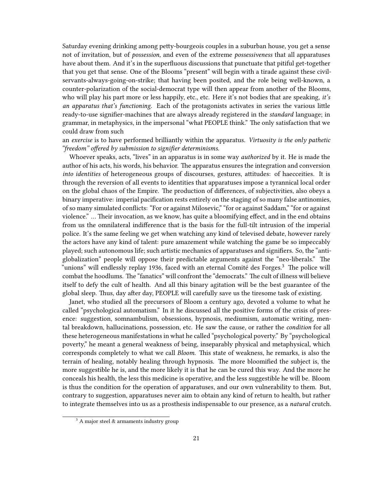Saturday evening drinking among petty-bourgeois couples in a suburban house, you get a sense not of invitation, but of *possession,* and even of the extreme *possessiveness* that all apparatuses have about them. And it's in the superfluous discussions that punctuate that pitiful get-together that you get that sense. One of the Blooms "present" will begin with a tirade against these civilservants-always-going-on-strike; that having been posited, and the role being well-known, a counter-polarization of the social-democrat type will then appear from another of the Blooms, who will play his part more or less happily, etc., etc. Here it's not bodies that are speaking, *it's an apparatus that's functioning*. Each of the protagonists activates in series the various little ready-to-use signifier-machines that are always already registered in the *standard* language; in grammar, in metaphysics, in the impersonal "what PEOPLE think." The only satisfaction that we could draw from such

an *exercise* is to have performed brilliantly within the apparatus. *Virtuosity is the only pathetic "freedom" offered by submission to signifier determinisms.*

Whoever speaks, acts, "lives" in an apparatus is in some way *authorized* by it. He is made the author of his acts, his words, his behavior. The apparatus ensures the integration and conversion *into identities* of heterogeneous groups of discourses, gestures, attitudes: of haecceities. It is through the reversion of all events to identities that apparatuses impose a tyrannical local order on the global chaos of the Empire. The production of differences, of subjectivities, also obeys a binary imperative: imperial pacification rests entirely on the staging of so many false antinomies, of so many simulated conflicts: "For or against Milosevic," "for or against Saddam," "for or against violence." … Their invocation, as we know, has quite a bloomifying effect, and in the end obtains from us the omnilateral indifference that is the basis for the full-tilt intrusion of the imperial police. It's the same feeling we get when watching any kind of televised debate, however rarely the actors have any kind of talent: pure amazement while watching the game be so impeccably played; such autonomous life; such artistic mechanics of apparatuses and signifiers. So, the "antiglobalization" people will oppose their predictable arguments against the "neo-liberals." The "unions" will endlessly replay 1936, faced with an eternal Comité des Forges.<sup>3</sup> The police will combat the hoodlums. The "fanatics" will confront the "democrats." The cult of illness will believe itself to defy the cult of health. And all this binary agitation will be the best guarantee of the global sleep. Thus, day after day, PEOPLE will carefully save us the tiresome task of existing.

Janet, who studied all the precursors of Bloom a century ago, devoted a volume to what he called "psychological automatism." In it he discussed all the positive forms of the crisis of presence: suggestion, somnambulism, obsessions, hypnosis, mediumism, automatic writing, mental breakdown, hallucinations, possession, etc. He saw the cause, or rather the *condition* for all these heterogeneous manifestations in what he called "psychological poverty." By "psychological poverty," he meant a general weakness of being, inseparably physical and metaphysical, which corresponds completely to what we call *Bloom*. This state of weakness, he remarks, is also the terrain of healing, notably healing through hypnosis. The more bloomified the subject is, the more suggestible he is, and the more likely it is that he can be cured this way. And the more he conceals his health, the less this medicine is operative, and the less suggestible he will be. Bloom is thus the condition for the operation of apparatuses, and our own vulnerability to them. But, contrary to suggestion, apparatuses never aim to obtain any kind of return to health, but rather to integrate themselves into us as a prosthesis indispensable to our presence, as a *natural* crutch.

 $3$  A major steel & armaments industry group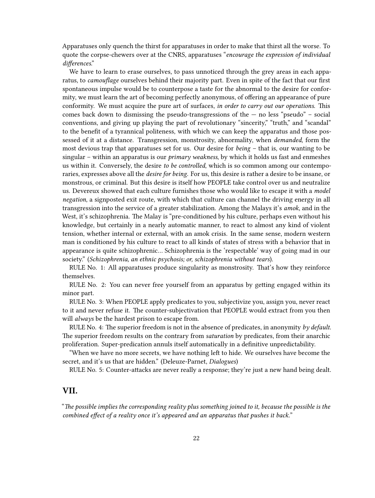Apparatuses only quench the thirst for apparatuses in order to make that thirst all the worse. To quote the corpse-chewers over at the CNRS, apparatuses "*encourage the expression of individual differences*."

We have to learn to erase ourselves, to pass unnoticed through the grey areas in each apparatus, to *camouflage* ourselves behind their majority part. Even in spite of the fact that our first spontaneous impulse would be to counterpose a taste for the abnormal to the desire for conformity, we must learn the art of becoming perfectly anonymous, of offering an appearance of pure conformity. We must acquire the pure art of surfaces, *in order to carry out our operations*. This comes back down to dismissing the pseudo-transgressions of the  $-$  no less "pseudo"  $-$  social conventions, and giving up playing the part of revolutionary "sincerity," "truth," and "scandal" to the benefit of a tyrannical politeness, with which we can keep the apparatus and those possessed of it at a distance. Transgression, monstrosity, abnormality, when *demanded*, form the most devious trap that apparatuses set for us. Our desire for *being* – that is, our wanting to be singular – within an apparatus is our *primary weakness*, by which it holds us fast and enmeshes us within it. Conversely, the desire *to be controlled*, which is so common among our contemporaries, expresses above all the *desire for being*. For us, this desire is rather a desire to be insane, or monstrous, or criminal. But this desire is itself how PEOPLE take control over us and neutralize us. Devereux showed that each culture furnishes those who would like to escape it with a *model negation*, a signposted exit route, with which that culture can channel the driving energy in all transgression into the service of a greater stabilization. Among the Malays it's *amok*, and in the West, it's schizophrenia. The Malay is "pre-conditioned by his culture, perhaps even without his knowledge, but certainly in a nearly automatic manner, to react to almost any kind of violent tension, whether internal or external, with an amok crisis. In the same sense, modern western man is conditioned by his culture to react to all kinds of states of stress with a behavior that in appearance is quite schizophrenic… Schizophrenia is the 'respectable' way of going mad in our society." (*Schizophrenia, an ethnic psychosis; or, schizophrenia without tears*).

RULE No. 1: All apparatuses produce singularity as monstrosity. That's how they reinforce themselves.

RULE No. 2: You can never free yourself from an apparatus by getting engaged within its minor part.

RULE No. 3: When PEOPLE apply predicates to you, subjectivize you, assign you, never react to it and never refuse it. The counter-subjectivation that PEOPLE would extract from you then will *always* be the hardest prison to escape from.

RULE No. 4: The superior freedom is not in the absence of predicates, in anonymity *by default*. The superior freedom results on the contrary from *saturation* by predicates, from their anarchic proliferation. Super-predication annuls itself automatically in a definitive unpredictability.

"When we have no more secrets, we have nothing left to hide. We ourselves have become the secret, and it's us that are hidden." (Deleuze-Parnet, *Dialogues*)

RULE No. 5: Counter-attacks are never really a response; they're just a new hand being dealt.

## <span id="page-21-0"></span>**VII.**

"*The possible implies the corresponding reality plus something joined to it, because the possible is the combined effect of a reality once it's appeared and an apparatus that pushes it back.*"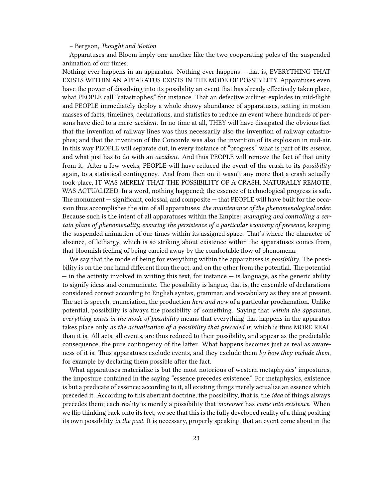#### – Bergson, *Thought and Motion*

Apparatuses and Bloom imply one another like the two cooperating poles of the suspended animation of our times.

Nothing ever happens in an apparatus. Nothing ever happens – that is, EVERYTHING THAT EXISTS WITHIN AN APPARATUS EXISTS IN THE MODE OF POSSIBILITY. Apparatuses even have the power of dissolving into its possibility an event that has already effectively taken place, what PEOPLE call "catastrophes," for instance. That an defective airliner explodes in mid-flight and PEOPLE immediately deploy a whole showy abundance of apparatuses, setting in motion masses of facts, timelines, declarations, and statistics to reduce an event where hundreds of persons have died to a mere *accident*. In no time at all, THEY will have dissipated the obvious fact that the invention of railway lines was thus necessarily also the invention of railway catastrophes; and that the invention of the Concorde was also the invention of its explosion in mid-air. In this way PEOPLE will separate out, in every instance of "progress," what is part of its *essence*, and what just has to do with an *accident.* And thus PEOPLE will remove the fact of that unity from it. After a few weeks, PEOPLE will have reduced the event of the crash to its *possibility* again, to a statistical contingency. And from then on it wasn't any more that a crash actually took place, IT WAS MERELY THAT THE POSSIBILITY OF A CRASH, NATURALLY REMOTE, WAS ACTUALIZED. In a word, nothing happened; the essence of technological progress is safe. The monument — significant, colossal, and composite — that PEOPLE will have built for the occasion thus accomplishes the aim of all apparatuses: *the maintenance of the phenomenological order.* Because such is the intent of all apparatuses within the Empire: *managing and controlling a certain plane of phenomenality, ensuring the persistence of a particular economy of presence*, keeping the suspended animation of our times within its assigned space. That's where the character of absence, of lethargy, which is so striking about existence within the apparatuses comes from, that bloomish feeling of being carried away by the comfortable flow of phenomena.

We say that the mode of being for everything within the apparatuses is *possibility*. The possibility is on the one hand different from the act, and on the other from the potential. The potential — in the activity involved in writing this text, for instance — is language, as the generic ability to signify ideas and communicate. The possibility is langue, that is, the ensemble of declarations considered correct according to English syntax, grammar, and vocabulary as they are at present. The act is speech, enunciation, the production *here and now* of a particular proclamation. Unlike potential, possibility is always the possibility *of* something. Saying that *within the apparatus, everything exists in the mode of possibility* means that everything that happens in the apparatus takes place only *as the actualization of a possibility that preceded it*, which is thus MORE REAL than it is. All acts, all events, are thus reduced to their possibility, and appear as the predictable consequence, the pure contingency of the latter. What happens becomes just as real as awareness of it is. Thus apparatuses exclude events, and they exclude them *by how they include them*, for example by declaring them possible after the fact.

What apparatuses materialize is but the most notorious of western metaphysics' impostures, the imposture contained in the saying "essence precedes existence." For metaphysics, existence is but a predicate of essence; according to it, all existing things merely actualize an essence which preceded it. According to this aberrant doctrine, the possibility, that is, the *idea* of things always precedes them; each reality is merely a possibility that *moreover* has *come into existence.* When we flip thinking back onto its feet, we see that this is the fully developed reality of a thing positing its own possibility *in the past.* It is necessary, properly speaking, that an event come about in the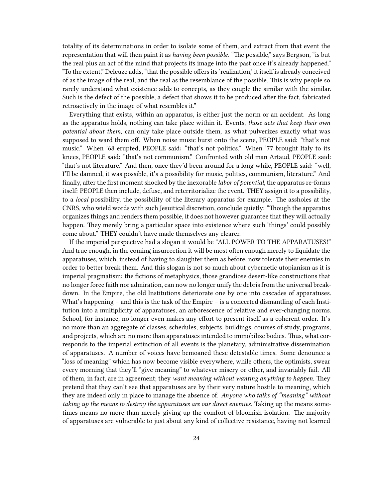totality of its determinations in order to isolate some of them, and extract from that event the representation that will then paint it as *having been possible*. "The possible," says Bergson, "is but the real plus an act of the mind that projects its image into the past once it's already happened." "To the extent," Deleuze adds, "that the possible offers its 'realization,' it itself is already conceived of as the image of the real, and the real as the resemblance of the possible. This is why people so rarely understand what existence adds to concepts, as they couple the similar with the similar. Such is the defect of the possible, a defect that shows it to be produced after the fact, fabricated retroactively in the image of what resembles it."

Everything that exists, within an apparatus, is either just the norm or an accident. As long as the apparatus holds, nothing can take place within it. Events, *those acts that keep their own potential about them*, can only take place outside them, as what pulverizes exactly what was supposed to ward them off. When noise music burst onto the scene, PEOPLE said: "that's not music." When '68 erupted, PEOPLE said: "that's not politics." When '77 brought Italy to its knees, PEOPLE said: "that's not communism." Confronted with old man Artaud, PEOPLE said: "that's not literature." And then, once they'd been around for a long while, PEOPLE said: "well, I'll be damned, it was possible, it's *a* possibility for music, politics, communism, literature." And finally, after the first moment shocked by the inexorable *labor of potential*, the apparatus re-forms itself: PEOPLE then include, defuse, and reterritorialize the event. THEY assign it to a possibility, to a *local* possibility, the possibility of the literary apparatus for example. The assholes at the CNRS, who wield words with such Jesuitical discretion, conclude quietly: "Though the apparatus organizes things and renders them possible, it does not however guarantee that they will actually happen. They merely bring a particular space into existence where such 'things' could possibly come about." THEY couldn't have made themselves any clearer.

If the imperial perspective had a slogan it would be "ALL POWER TO THE APPARATUSES!" And true enough, in the coming insurrection it will be most often enough merely to liquidate the apparatuses, which, instead of having to slaughter them as before, now tolerate their enemies in order to better break them. And this slogan is not so much about cybernetic utopianism as it is imperial pragmatism: the fictions of metaphysics, those grandiose desert-like constructions that no longer force faith nor admiration, can now no longer unify the debris from the universal breakdown. In the Empire, the old Institutions deteriorate one by one into cascades of apparatuses. What's happening – and this is the task of the Empire – is a concerted dismantling of each Institution into a multiplicity of apparatuses, an arborescence of relative and ever-changing norms. School, for instance, no longer even makes any effort to present itself as a coherent order. It's no more than an aggregate of classes, schedules, subjects, buildings, courses of study, programs, and projects, which are no more than apparatuses intended to immobilize bodies. Thus, what corresponds to the imperial extinction of all events is the planetary, administrative dissemination of apparatuses. A number of voices have bemoaned these detestable times. Some denounce a "loss of meaning" which has now become visible everywhere, while others, the optimists, swear every morning that they'll "give meaning" to whatever misery or other, and invariably fail. All of them, in fact, are in agreement; they *want meaning without wanting anything to happen.* They pretend that they can't see that apparatuses are by their very nature hostile to meaning, which they are indeed only in place to manage the absence of. *Anyone who talks of "meaning" without taking up the means to destroy the apparatuses are our direct enemies.* Taking up the means sometimes means no more than merely giving up the comfort of bloomish isolation. The majority of apparatuses are vulnerable to just about any kind of collective resistance, having not learned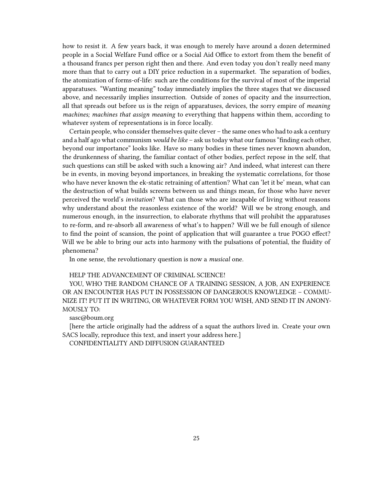how to resist it. A few years back, it was enough to merely have around a dozen determined people in a Social Welfare Fund office or a Social Aid Office to extort from them the benefit of a thousand francs per person right then and there. And even today you don't really need many more than that to carry out a DIY price reduction in a supermarket. The separation of bodies, the atomization of forms-of-life: such are the conditions for the survival of most of the imperial apparatuses. "Wanting meaning" today immediately implies the three stages that we discussed above, and necessarily implies insurrection. Outside of zones of opacity and the insurrection, all that spreads out before us is the reign of apparatuses, devices, the sorry empire of *meaning machines; machines that assign meaning* to everything that happens within them, according to whatever system of representations is in force locally.

Certain people, who consider themselves quite clever – the same ones who had to ask a century and a half ago what communism *would be like* – ask us today what our famous "finding each other, beyond our importance" looks like. Have so many bodies in these times never known abandon, the drunkenness of sharing, the familiar contact of other bodies, perfect repose in the self, that such questions can still be asked with such a knowing air? And indeed, what interest can there be in events, in moving beyond importances, in breaking the systematic correlations, for those who have never known the ek-static retraining of attention? What can 'let it be' mean, what can the destruction of what builds screens between us and things mean, for those who have never perceived the world's *invitation*? What can those who are incapable of living without reasons why understand about the reasonless existence of the world? Will we be strong enough, and numerous enough, in the insurrection, to elaborate rhythms that will prohibit the apparatuses to re-form, and re-absorb all awareness of what's to happen? Will we be full enough of silence to find the point of scansion, the point of application that will guarantee a true POGO effect? Will we be able to bring our acts into harmony with the pulsations of potential, the fluidity of phenomena?

In one sense, the revolutionary question is now a *musical* one.

#### HELP THE ADVANCEMENT OF CRIMINAL SCIENCE!

YOU, WHO THE RANDOM CHANCE OF A TRAINING SESSION, A JOB, AN EXPERIENCE OR AN ENCOUNTER HAS PUT IN POSSESSION OF DANGEROUS KNOWLEDGE – COMMU-NIZE IT! PUT IT IN WRITING, OR WHATEVER FORM YOU WISH, AND SEND IT IN ANONY-MOUSLY TO:

#### sasc@boum.org

[here the article originally had the address of a squat the authors lived in. Create your own SACS locally, reproduce this text, and insert your address here.]

CONFIDENTIALITY AND DIFFUSION GUARANTEED